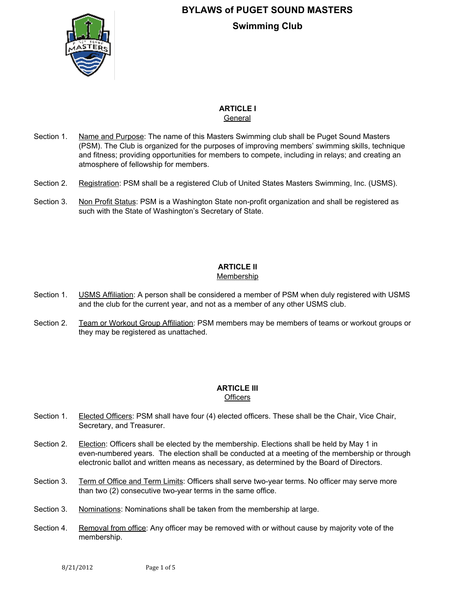

# **ARTICLE I**

General

- Section 1. Name and Purpose: The name of this Masters Swimming club shall be Puget Sound Masters (PSM). The Club is organized for the purposes of improving members' swimming skills, technique and fitness; providing opportunities for members to compete, including in relays; and creating an atmosphere of fellowship for members.
- Section 2. Registration: PSM shall be a registered Club of United States Masters Swimming, Inc. (USMS).
- Section 3. Non Profit Status: PSM is a Washington State non-profit organization and shall be registered as such with the State of Washington's Secretary of State.

#### **ARTICLE II** Membership

- Section 1. **USMS Affiliation:** A person shall be considered a member of PSM when duly registered with USMS and the club for the current year, and not as a member of any other USMS club.
- Section 2. Team or Workout Group Affiliation: PSM members may be members of teams or workout groups or they may be registered as unattached.

# **ARTICLE III**

**Officers** 

- Section 1. Elected Officers: PSM shall have four (4) elected officers. These shall be the Chair, Vice Chair, Secretary, and Treasurer.
- Section 2. Election: Officers shall be elected by the membership. Elections shall be held by May 1 in even-numbered years. The election shall be conducted at a meeting of the membership or through electronic ballot and written means as necessary, as determined by the Board of Directors.
- Section 3. Term of Office and Term Limits: Officers shall serve two-year terms. No officer may serve more than two (2) consecutive two-year terms in the same office.
- Section 3. Nominations: Nominations shall be taken from the membership at large.
- Section 4. Removal from office: Any officer may be removed with or without cause by majority vote of the membership.

8/21/2012 Page 1 of 5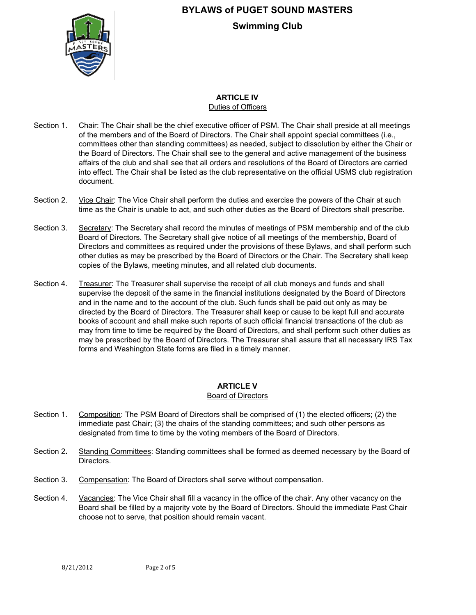

#### **ARTICLE IV** Duties of Officers

- Section 1. Chair: The Chair shall be the chief executive officer of PSM. The Chair shall preside at all meetings of the members and of the Board of Directors. The Chair shall appoint special committees (i.e., committees other than standing committees) as needed, subject to dissolution by either the Chair or the Board of Directors. The Chair shall see to the general and active management of the business affairs of the club and shall see that all orders and resolutions of the Board of Directors are carried into effect. The Chair shall be listed as the club representative on the official USMS club registration document.
- Section 2. Vice Chair: The Vice Chair shall perform the duties and exercise the powers of the Chair at such time as the Chair is unable to act, and such other duties as the Board of Directors shall prescribe.
- Section 3. Secretary: The Secretary shall record the minutes of meetings of PSM membership and of the club Board of Directors. The Secretary shall give notice of all meetings of the membership, Board of Directors and committees as required under the provisions of these Bylaws, and shall perform such other duties as may be prescribed by the Board of Directors or the Chair. The Secretary shall keep copies of the Bylaws, meeting minutes, and all related club documents.
- Section 4. Treasurer: The Treasurer shall supervise the receipt of all club moneys and funds and shall supervise the deposit of the same in the financial institutions designated by the Board of Directors and in the name and to the account of the club. Such funds shall be paid out only as may be directed by the Board of Directors. The Treasurer shall keep or cause to be kept full and accurate books of account and shall make such reports of such official financial transactions of the club as may from time to time be required by the Board of Directors, and shall perform such other duties as may be prescribed by the Board of Directors. The Treasurer shall assure that all necessary IRS Tax forms and Washington State forms are filed in a timely manner.

## **ARTICLE V**

### Board of Directors

- Section 1. Composition: The PSM Board of Directors shall be comprised of (1) the elected officers; (2) the immediate past Chair; (3) the chairs of the standing committees; and such other persons as designated from time to time by the voting members of the Board of Directors.
- Section 2**.** Standing Committees: Standing committees shall be formed as deemed necessary by the Board of Directors.
- Section 3. Compensation: The Board of Directors shall serve without compensation.
- Section 4. Vacancies: The Vice Chair shall fill a vacancy in the office of the chair. Any other vacancy on the Board shall be filled by a majority vote by the Board of Directors. Should the immediate Past Chair choose not to serve, that position should remain vacant.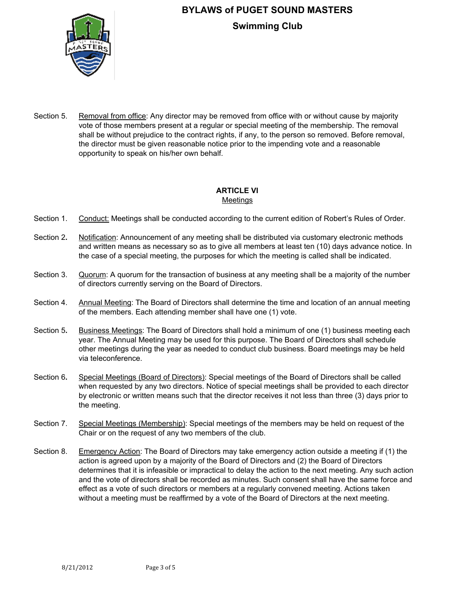

Section 5. Removal from office: Any director may be removed from office with or without cause by majority vote of those members present at a regular or special meeting of the membership. The removal shall be without prejudice to the contract rights, if any, to the person so removed. Before removal, the director must be given reasonable notice prior to the impending vote and a reasonable opportunity to speak on his/her own behalf.

### **ARTICLE VI** Meetings

- Section 1. Conduct: Meetings shall be conducted according to the current edition of Robert's Rules of Order.
- Section 2**.** Notification: Announcement of any meeting shall be distributed via customary electronic methods and written means as necessary so as to give all members at least ten (10) days advance notice. In the case of a special meeting, the purposes for which the meeting is called shall be indicated.
- Section 3. Quorum: A quorum for the transaction of business at any meeting shall be a majority of the number of directors currently serving on the Board of Directors.
- Section 4. Annual Meeting: The Board of Directors shall determine the time and location of an annual meeting of the members. Each attending member shall have one (1) vote.
- Section 5**.** Business Meetings: The Board of Directors shall hold a minimum of one (1) business meeting each year. The Annual Meeting may be used for this purpose. The Board of Directors shall schedule other meetings during the year as needed to conduct club business. Board meetings may be held via teleconference.
- Section 6**.** Special Meetings (Board of Directors): Special meetings of the Board of Directors shall be called when requested by any two directors. Notice of special meetings shall be provided to each director by electronic or written means such that the director receives it not less than three (3) days prior to the meeting.
- Section 7. Special Meetings (Membership): Special meetings of the members may be held on request of the Chair or on the request of any two members of the club.
- Section 8. Emergency Action: The Board of Directors may take emergency action outside a meeting if (1) the action is agreed upon by a majority of the Board of Directors and (2) the Board of Directors determines that it is infeasible or impractical to delay the action to the next meeting. Any such action and the vote of directors shall be recorded as minutes. Such consent shall have the same force and effect as a vote of such directors or members at a regularly convened meeting. Actions taken without a meeting must be reaffirmed by a vote of the Board of Directors at the next meeting.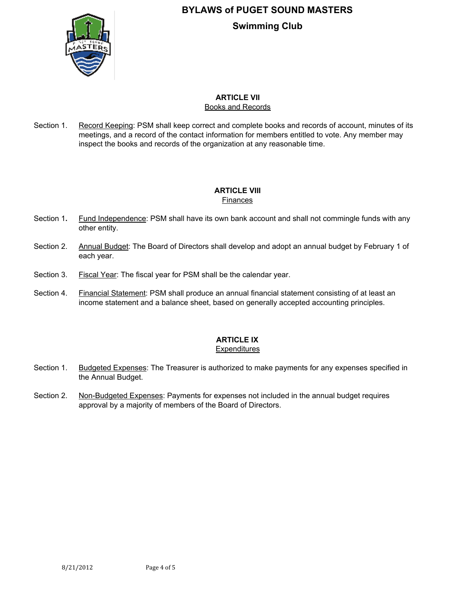

#### **ARTICLE VII** Books and Records

Section 1. Record Keeping: PSM shall keep correct and complete books and records of account, minutes of its meetings, and a record of the contact information for members entitled to vote. Any member may inspect the books and records of the organization at any reasonable time.

### **ARTICLE VIII** Finances

- Section 1**.** Fund Independence: PSM shall have its own bank account and shall not commingle funds with any other entity.
- Section 2. Annual Budget: The Board of Directors shall develop and adopt an annual budget by February 1 of each year.
- Section 3. Fiscal Year: The fiscal year for PSM shall be the calendar year.
- Section 4. Financial Statement: PSM shall produce an annual financial statement consisting of at least an income statement and a balance sheet, based on generally accepted accounting principles.

## **ARTICLE IX**

### **Expenditures**

- Section 1. Budgeted Expenses: The Treasurer is authorized to make payments for any expenses specified in the Annual Budget.
- Section 2. Non-Budgeted Expenses: Payments for expenses not included in the annual budget requires approval by a majority of members of the Board of Directors.